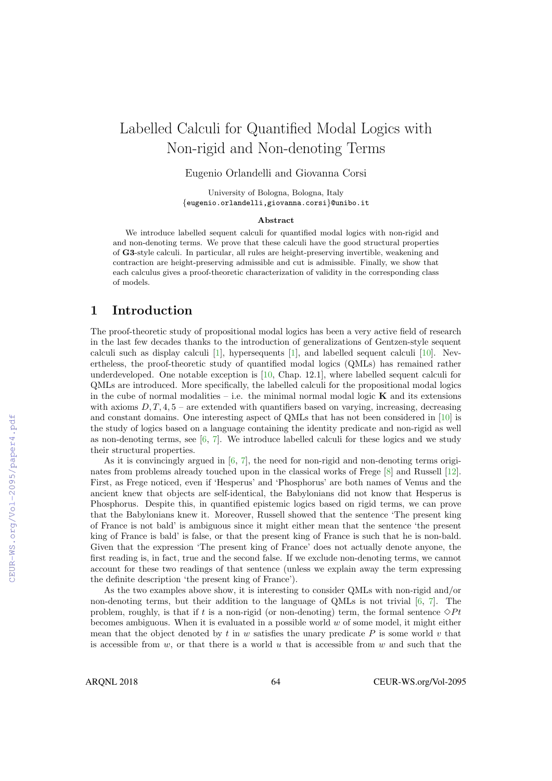# Labelled Calculi for Quantified Modal Logics with Non-rigid and Non-denoting Terms

Eugenio Orlandelli and Giovanna Corsi

University of Bologna, Bologna, Italy {eugenio.orlandelli,giovanna.corsi}@unibo.it

#### Abstract

We introduce labelled sequent calculi for quantified modal logics with non-rigid and and non-denoting terms. We prove that these calculi have the good structural properties of G3-style calculi. In particular, all rules are height-preserving invertible, weakening and contraction are height-preserving admissible and cut is admissible. Finally, we show that each calculus gives a proof-theoretic characterization of validity in the corresponding class of models.

# 1 Introduction

The proof-theoretic study of propositional modal logics has been a very active field of research in the last few decades thanks to the introduction of generalizations of Gentzen-style sequent calculi such as display calculi [1], hypersequents [1], and labelled sequent calculi [10]. Nevertheless, the proof-theoretic study of quantified modal logics (QMLs) has remained rather underdeveloped. One notable exception is [10, Chap. 12.1], where labelled sequent calculi for QMLs are introduced. More specifically, the labelled calculi for the propositional modal logics in the cube of normal modalities – i.e. the minimal normal modal logic  $\bf{K}$  and its extensions with axioms  $D, T, 4, 5$  – are extended with quantifiers based on varying, increasing, decreasing and constant domains. One interesting aspect of QMLs that has not been considered in [10] is the study of logics based on a language containing the identity predicate and non-rigid as well as non-denoting terms, see  $[6, 7]$ . We introduce labelled calculi for these logics and we study their structural properties.

As it is convincingly argued in [6, 7], the need for non-rigid and non-denoting terms originates from problems already touched upon in the classical works of Frege [8] and Russell [12]. First, as Frege noticed, even if 'Hesperus' and 'Phosphorus' are both names of Venus and the ancient knew that objects are self-identical, the Babylonians did not know that Hesperus is Phosphorus. Despite this, in quantified epistemic logics based on rigid terms, we can prove that the Babylonians knew it. Moreover, Russell showed that the sentence 'The present king of France is not bald' is ambiguous since it might either mean that the sentence 'the present king of France is bald' is false, or that the present king of France is such that he is non-bald. Given that the expression 'The present king of France' does not actually denote anyone, the first reading is, in fact, true and the second false. If we exclude non-denoting terms, we cannot account for these two readings of that sentence (unless we explain away the term expressing the definite description 'the present king of France').

As the two examples above show, it is interesting to consider QMLs with non-rigid and/or non-denoting terms, but their addition to the language of QMLs is not trivial [6, 7]. The problem, roughly, is that if t is a non-rigid (or non-denoting) term, the formal sentence  $\Diamond Pt$ becomes ambiguous. When it is evaluated in a possible world  $w$  of some model, it might either mean that the object denoted by  $t$  in  $w$  satisfies the unary predicate  $P$  is some world  $v$  that is accessible from  $w$ , or that there is a world  $u$  that is accessible from  $w$  and such that the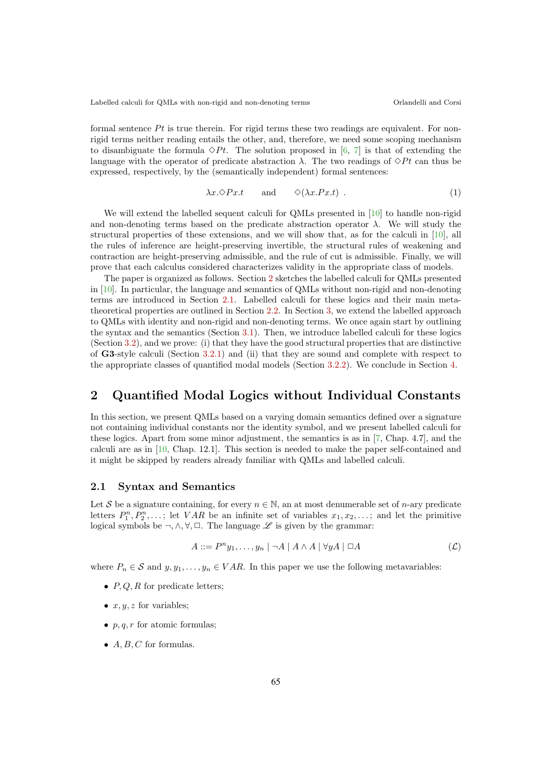formal sentence  $Pt$  is true therein. For rigid terms these two readings are equivalent. For nonrigid terms neither reading entails the other, and, therefore, we need some scoping mechanism to disambiguate the formula  $\Diamond Pt$ . The solution proposed in [6, 7] is that of extending the language with the operator of predicate abstraction  $\lambda$ . The two readings of  $\Diamond Pt$  can thus be expressed, respectively, by the (semantically independent) formal sentences:

$$
\lambda x. \diamond P x.t \quad \text{and} \quad \diamond (\lambda x. P x.t) . \tag{1}
$$

We will extend the labelled sequent calculi for QMLs presented in [10] to handle non-rigid and non-denoting terms based on the predicate abstraction operator  $\lambda$ . We will study the structural properties of these extensions, and we will show that, as for the calculi in [10], all the rules of inference are height-preserving invertible, the structural rules of weakening and contraction are height-preserving admissible, and the rule of cut is admissible. Finally, we will prove that each calculus considered characterizes validity in the appropriate class of models.

The paper is organized as follows. Section 2 sketches the labelled calculi for QMLs presented in [10]. In particular, the language and semantics of QMLs without non-rigid and non-denoting terms are introduced in Section 2.1. Labelled calculi for these logics and their main metatheoretical properties are outlined in Section 2.2. In Section 3, we extend the labelled approach to QMLs with identity and non-rigid and non-denoting terms. We once again start by outlining the syntax and the semantics (Section 3.1). Then, we introduce labelled calculi for these logics (Section 3.2), and we prove: (i) that they have the good structural properties that are distinctive of G3-style calculi (Section 3.2.1) and (ii) that they are sound and complete with respect to the appropriate classes of quantified modal models (Section 3.2.2). We conclude in Section 4.

# 2 Quantified Modal Logics without Individual Constants

In this section, we present QMLs based on a varying domain semantics defined over a signature not containing individual constants nor the identity symbol, and we present labelled calculi for these logics. Apart from some minor adjustment, the semantics is as in [7, Chap. 4.7], and the calculi are as in [10, Chap. 12.1]. This section is needed to make the paper self-contained and it might be skipped by readers already familiar with QMLs and labelled calculi.

### 2.1 Syntax and Semantics

Let S be a signature containing, for every  $n \in \mathbb{N}$ , an at most denumerable set of *n*-ary predicate letters  $P_1^n, P_2^n, \ldots$ ; let  $VAR$  be an infinite set of variables  $x_1, x_2, \ldots$ ; and let the primitive logical symbols be  $\neg, \wedge, \forall, \Box$ . The language  $\mathscr L$  is given by the grammar:

$$
A ::= P^{n}y_{1}, \ldots, y_{n} \mid \neg A \mid A \land A \mid \forall y A \mid \Box A \tag{L}
$$

where  $P_n \in \mathcal{S}$  and  $y, y_1, \ldots, y_n \in VAR$ . In this paper we use the following metavariables:

- $P, Q, R$  for predicate letters;
- $x, y, z$  for variables;
- p, q, r for atomic formulas;
- $A, B, C$  for formulas.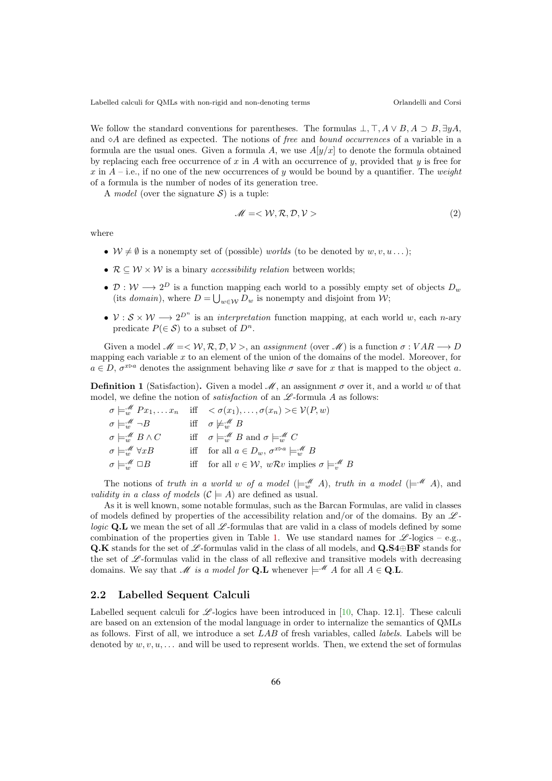We follow the standard conventions for parentheses. The formulas  $\bot$ ,  $\top$ ,  $A \lor B$ ,  $A \supset B$ ,  $\exists yA$ , and  $\Diamond A$  are defined as expected. The notions of free and bound occurrences of a variable in a formula are the usual ones. Given a formula A, we use  $A[y/x]$  to denote the formula obtained by replacing each free occurrence of x in A with an occurrence of y, provided that y is free for x in  $A$  – i.e., if no one of the new occurrences of y would be bound by a quantifier. The weight of a formula is the number of nodes of its generation tree.

A *model* (over the signature  $S$ ) is a tuple:

$$
\mathcal{M} = \langle \mathcal{W}, \mathcal{R}, \mathcal{D}, \mathcal{V} \rangle \tag{2}
$$

where

- $W \neq \emptyset$  is a nonempty set of (possible) worlds (to be denoted by  $w, v, u \dots$ );
- $\mathcal{R} \subseteq \mathcal{W} \times \mathcal{W}$  is a binary *accessibility relation* between worlds;
- $\mathcal{D}: \mathcal{W} \longrightarrow 2^D$  is a function mapping each world to a possibly empty set of objects  $D_w$ (its *domain*), where  $D = \bigcup_{w \in \mathcal{W}} D_w$  is nonempty and disjoint from  $\mathcal{W}$ ;
- $V : S \times W \longrightarrow 2^{D^n}$  is an *interpretation* function mapping, at each world w, each n-ary predicate  $P(\in \mathcal{S})$  to a subset of  $D^n$ .

Given a model  $M = \langle W, R, D, V \rangle$ , an assignment (over M) is a function  $\sigma : VAR \longrightarrow D$ mapping each variable  $x$  to an element of the union of the domains of the model. Moreover, for  $a \in D$ ,  $\sigma^{x \triangleright a}$  denotes the assignment behaving like  $\sigma$  save for x that is mapped to the object a.

**Definition 1** (Satisfaction). Given a model  $\mathcal{M}$ , an assignment  $\sigma$  over it, and a world w of that model, we define the notion of *satisfaction* of an  $\mathscr L$ -formula A as follows:

|                                                | $\sigma \models_w^{\mathscr{M}} Px_1, \ldots x_n$ iff $\langle \sigma(x_1), \ldots, \sigma(x_n) \rangle \in \mathcal{V}(P, w)$ |
|------------------------------------------------|--------------------------------------------------------------------------------------------------------------------------------|
| $\sigma \models^{\mathscr{M}}_{w} \neg B$      | iff $\sigma \not\models_{w}^{\mathscr{M}} B$                                                                                   |
| $\sigma \models_{w}^{\mathscr{M}} B \wedge C$  | iff $\sigma \models_{w}^{\mathcal{M}} B$ and $\sigma \models_{w}^{\mathcal{M}} C$                                              |
| $\sigma \models^{\mathscr{M}}_{w} \forall x B$ | iff for all $a \in D_w$ , $\sigma^{x \triangleright a} \models_w^{\mathscr{M}} B$                                              |
| $\sigma \models_{w}^{\mathscr{M}} \Box B$      | iff for all $v \in \mathcal{W}$ , $w\mathcal{R}v$ implies $\sigma \models_{v}^{\mathcal{M}} B$                                 |
|                                                |                                                                                                                                |

The notions of truth in a world w of a model  $(\models_{w}^{\mathscr{M}} A)$ , truth in a model  $(\models^{\mathscr{M}} A)$ , and *validity in a class of models*  $(C \models A)$  are defined as usual.

As it is well known, some notable formulas, such as the Barcan Formulas, are valid in classes of models defined by properties of the accessibility relation and/or of the domains. By an  $\mathscr{L}$ logic Q.L we mean the set of all  $\mathscr{L}$ -formulas that are valid in a class of models defined by some combination of the properties given in Table 1. We use standard names for  $\mathscr{L}\text{-logics}$  – e.g., Q.K stands for the set of  $\mathscr{L}$ -formulas valid in the class of all models, and Q.S4⊕BF stands for the set of  $\mathscr{L}$ -formulas valid in the class of all reflexive and transitive models with decreasing domains. We say that M is a model for **Q.L** whenever  $\models M A$  for all  $A \in \mathbf{Q}.\mathbf{L}$ .

## 2.2 Labelled Sequent Calculi

Labelled sequent calculi for  $\mathscr{L}$ -logics have been introduced in [10, Chap. 12.1]. These calculi are based on an extension of the modal language in order to internalize the semantics of QMLs as follows. First of all, we introduce a set LAB of fresh variables, called labels. Labels will be denoted by  $w, v, u, \ldots$  and will be used to represent worlds. Then, we extend the set of formulas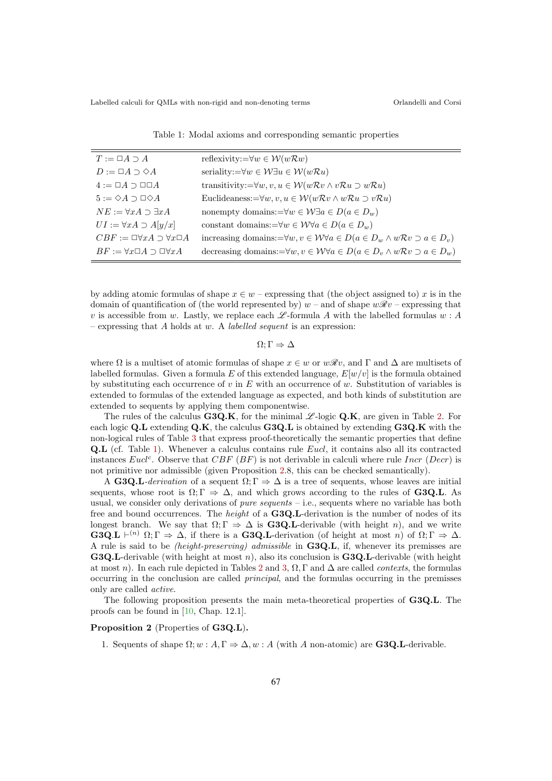| $T := \Box A \supset A$                            | reflexivity:= $\forall w \in \mathcal{W}(w\mathcal{R}w)$                                                      |
|----------------------------------------------------|---------------------------------------------------------------------------------------------------------------|
| $D := \Box A \supset \Diamond A$                   | seriality:= $\forall w \in W \exists u \in W(w \mathcal{R} u)$                                                |
| $4 := \Box A \supset \Box \Box A$                  | transitivity:= $\forall w, v, u \in W(wRv \wedge vRu \supset wRu)$                                            |
| $5 := \Diamond A \supset \Box \Diamond A$          | Euclideaness:= $\forall w, v, u \in W(wRv \wedge wRu \supset vRu)$                                            |
| $NE := \forall x A \supset \exists x A$            | nonempty domains:= $\forall w \in W \exists a \in D (a \in D_w)$                                              |
| $UI := \forall x A \supset A[y/x]$                 | constant domains:= $\forall w \in W \forall a \in D (a \in D_w)$                                              |
| $CBF := \Box \forall x A \supset \forall x \Box A$ | increasing domains:= $\forall w, v \in W \forall a \in D (a \in D_w \land w \mathcal{R} v \supset a \in D_v)$ |
| $BF := \forall x \Box A \supset \Box \forall x A$  | decreasing domains:= $\forall w, v \in W \forall a \in D (a \in D_v \land w \mathcal{R} v \supset a \in D_w)$ |
|                                                    |                                                                                                               |

Table 1: Modal axioms and corresponding semantic properties

by adding atomic formulas of shape  $x \in w$  – expressing that (the object assigned to) x is in the domain of quantification of (the world represented by)  $w$  – and of shape  $w\mathscr{R}v$  – expressing that v is accessible from w. Lastly, we replace each  $\mathscr{L}$ -formula A with the labelled formulas w: A – expressing that  $A$  holds at  $w$ . A *labelled sequent* is an expression:

 $\Omega: \Gamma \Rightarrow \Delta$ 

where  $\Omega$  is a multiset of atomic formulas of shape  $x \in w$  or  $w\mathcal{R}v$ , and  $\Gamma$  and  $\Delta$  are multisets of labelled formulas. Given a formula E of this extended language,  $E[w/v]$  is the formula obtained by substituting each occurrence of v in E with an occurrence of w. Substitution of variables is extended to formulas of the extended language as expected, and both kinds of substitution are extended to sequents by applying them componentwise.

The rules of the calculus  $G3Q.K$ , for the minimal  $\mathscr{L}$ -logic Q.K, are given in Table 2. For each logic  $Q.L$  extending  $Q.K$ , the calculus  $G3Q.L$  is obtained by extending  $G3Q.K$  with the non-logical rules of Table 3 that express proof-theoretically the semantic properties that define Q.L (cf. Table 1). Whenever a calculus contains rule Eucl, it contains also all its contracted instances Eucl<sup>c</sup>. Observe that  $CBF$  ( $BF$ ) is not derivable in calculi where rule Incr (Decr) is not primitive nor admissible (given Proposition 2.8, this can be checked semantically).

A G3Q.L-derivation of a sequent  $\Omega; \Gamma \Rightarrow \Delta$  is a tree of sequents, whose leaves are initial sequents, whose root is  $\Omega; \Gamma \Rightarrow \Delta$ , and which grows according to the rules of **G3Q.L**. As usual, we consider only derivations of *pure sequents*  $-$  i.e., sequents where no variable has both free and bound occurrences. The *height* of a **G3Q.L**-derivation is the number of nodes of its longest branch. We say that  $\Omega: \Gamma \Rightarrow \Delta$  is **G3Q.L**-derivable (with height n), and we write **G3Q.L**  $\vdash^{(n)} \Omega; \Gamma \Rightarrow \Delta$ , if there is a **G3Q.L**-derivation (of height at most n) of  $\Omega; \Gamma \Rightarrow \Delta$ . A rule is said to be (height-preserving) admissible in G3Q.L, if, whenever its premisses are **G3Q.L-derivable** (with height at most n), also its conclusion is **G3Q.L-derivable** (with height at most n). In each rule depicted in Tables 2 and 3,  $\Omega$ ,  $\Gamma$  and  $\Delta$  are called *contexts*, the formulas occurring in the conclusion are called principal, and the formulas occurring in the premisses only are called active.

The following proposition presents the main meta-theoretical properties of G3Q.L. The proofs can be found in [10, Chap. 12.1].

## Proposition 2 (Properties of G3Q.L).

1. Sequents of shape  $\Omega; w : A, \Gamma \Rightarrow \Delta, w : A$  (with A non-atomic) are **G3Q.L**-derivable.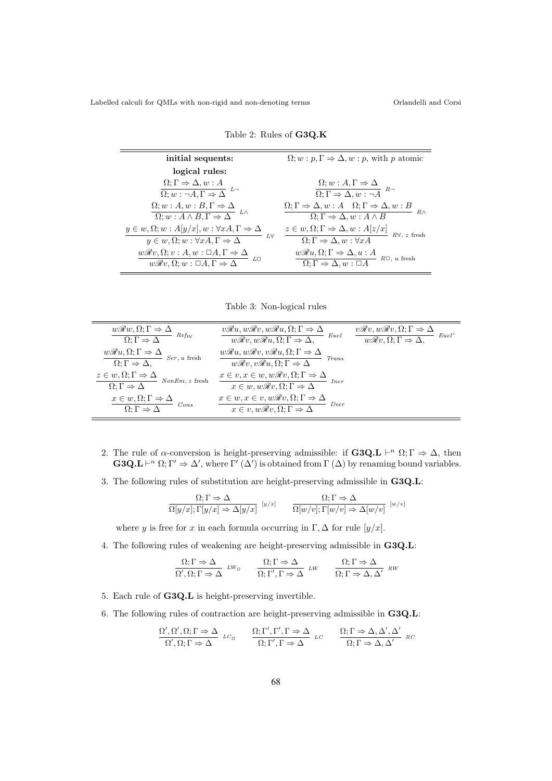| initial sequents:                                                                                                              | $\Omega; w : p, \Gamma \Rightarrow \Delta, w : p$ , with p atomic                                                                                              |
|--------------------------------------------------------------------------------------------------------------------------------|----------------------------------------------------------------------------------------------------------------------------------------------------------------|
| logical rules:                                                                                                                 |                                                                                                                                                                |
| $\Omega; \Gamma \Rightarrow \Delta, w : A$                                                                                     | $\Omega; w : A, \Gamma \Rightarrow \Delta$                                                                                                                     |
| $\overline{\Omega; w : \neg A, \Gamma \Rightarrow \Delta}$                                                                     | $\overline{\Omega; \Gamma \Rightarrow \Delta, w : \neg A}^{R}$                                                                                                 |
| $\Omega; w : A, w : B, \Gamma \Rightarrow \Delta$<br>$\overline{\Omega; w : A \wedge B, \Gamma \Rightarrow \Delta}$ $L \wedge$ | $\Omega; \Gamma \Rightarrow \Delta, w : A \quad \Omega; \Gamma \Rightarrow \Delta, w : B$<br>$R \wedge$<br>$\Omega; \Gamma \Rightarrow \Delta, w : A \wedge B$ |
| $y \in w, \Omega; w : A[y/x], w : \forall x A, \Gamma \Rightarrow \Delta$                                                      | $z \in w, \Omega; \Gamma \Rightarrow \Delta, w : A[z/x]$                                                                                                       |
| - L∀                                                                                                                           | $R\forall$ , z fresh                                                                                                                                           |
| $y \in w, \Omega; w : \forall x A, \Gamma \Rightarrow \Delta$                                                                  | $\Omega; \Gamma \Rightarrow \Delta, w : \forall x A$                                                                                                           |
| $\underline{w\mathscr{R}v,\Omega; v:A,w:}\ \Box A,\Gamma\Rightarrow\Delta$                                                     | $w\mathcal{R}u, \Omega; \Gamma \Rightarrow \Delta, u : A$                                                                                                      |
| <i>L</i> ⊡                                                                                                                     | $R\Box$ , u fresh                                                                                                                                              |
| $\overline{w\mathscr{R}v,\Omega;w:\Box A,\Gamma\Rightarrow\Delta}$                                                             | $\Omega; \Gamma \Rightarrow \Delta, w : \Box A$                                                                                                                |

Table 2: Rules of G3Q.K

Table 3: Non-logical rules

| $w\mathcal{R}w, \Omega; \Gamma \Rightarrow \Delta$<br>$Ref_{\mathcal{W}}$<br>$\Omega; \Gamma \Rightarrow \Delta$ | $v\mathcal{R}u, w\mathcal{R}v, w\mathcal{R}u, \Omega; \Gamma \Rightarrow \Delta$<br>Eucl<br>$\overline{w\mathscr{R}v, w\mathscr{R}u, \Omega; \Gamma \Rightarrow \Delta,}$ | $v\mathcal{R}v, w\mathcal{R}v, \Omega; \Gamma \Rightarrow \Delta$<br>Eucl <sup>c</sup><br>$w\mathscr{R}v, \Omega; \Gamma \Rightarrow \Delta,$ |
|------------------------------------------------------------------------------------------------------------------|---------------------------------------------------------------------------------------------------------------------------------------------------------------------------|-----------------------------------------------------------------------------------------------------------------------------------------------|
| $w\mathcal{R}u, \Omega; \Gamma \Rightarrow \Delta$<br>$-$ Ser, u fresh<br>$\Omega: \Gamma \Rightarrow \Delta,$   | $w\mathcal{R}u, w\mathcal{R}v, v\mathcal{R}u, \Omega; \Gamma \Rightarrow \Delta$<br>Trans<br>$w\mathcal{R}v, v\mathcal{R}u, \Omega; \Gamma \Rightarrow \Delta$            |                                                                                                                                               |
| $\frac{z \in w, \Omega; \Gamma \Rightarrow \Delta}{\Omega; \Gamma \Rightarrow \Delta}$<br>$NonEm, z$ fresh       | $\frac{x \in v, x \in w, w\mathcal{R}v, \Omega; \Gamma \Rightarrow \Delta}{x \in w, w\mathcal{R}v, \Omega; \Gamma \Rightarrow \Delta}$<br>Incr                            |                                                                                                                                               |
| $\frac{x \in w, \Omega; \Gamma \Rightarrow \Delta}{\Omega; \Gamma \Rightarrow \Delta}$<br>Cons                   | $x \in w, x \in v, w\mathcal{R}v, \Omega; \Gamma \Rightarrow \Delta$<br>$x \in v, w\mathcal{R}v, \Omega; \Gamma \Rightarrow \Delta$<br>Decr                               |                                                                                                                                               |

- 2. The rule of  $\alpha$ -conversion is height-preserving admissible: if **G3Q.L**  $\vdash^n \Omega; \Gamma \Rightarrow \Delta$ , then **G3Q.L**  $\vdash^n \Omega; \Gamma' \Rightarrow \Delta'$ , where  $\Gamma'(\Delta')$  is obtained from  $\Gamma(\Delta)$  by renaming bound variables.
- 3. The following rules of substitution are height-preserving admissible in G3Q.L:

$$
\frac{\Omega; \Gamma \Rightarrow \Delta}{\Omega[y/x]; \Gamma[y/x] \Rightarrow \Delta[y/x]} \qquad \frac{\Omega; \Gamma \Rightarrow \Delta}{\Omega[w/v]; \Gamma[w/v] \Rightarrow \Delta[w/v]} \qquad [w/v]
$$

where y is free for x in each formula occurring in  $\Gamma$ ,  $\Delta$  for rule  $[y/x]$ .

4. The following rules of weakening are height-preserving admissible in G3Q.L:

$$
\frac{\Omega; \Gamma \Rightarrow \Delta}{\Omega', \Omega; \Gamma \Rightarrow \Delta} \quad LW_{\Omega} \qquad \frac{\Omega; \Gamma \Rightarrow \Delta}{\Omega; \Gamma', \Gamma \Rightarrow \Delta} \quad LW \qquad \frac{\Omega; \Gamma \Rightarrow \Delta}{\Omega; \Gamma \Rightarrow \Delta, \Delta'} \quad RW
$$

- 5. Each rule of G3Q.L is height-preserving invertible.
- 6. The following rules of contraction are height-preserving admissible in G3Q.L:

$$
\frac{\Omega', \Omega', \Omega; \Gamma \Rightarrow \Delta}{\Omega', \Omega; \Gamma \Rightarrow \Delta} \quad \text{LC}_{\Omega} \qquad \frac{\Omega; \Gamma', \Gamma', \Gamma \Rightarrow \Delta}{\Omega; \Gamma', \Gamma \Rightarrow \Delta} \quad \text{LC} \qquad \frac{\Omega; \Gamma \Rightarrow \Delta, \Delta', \Delta'}{\Omega; \Gamma \Rightarrow \Delta, \Delta'} \quad \text{RC}
$$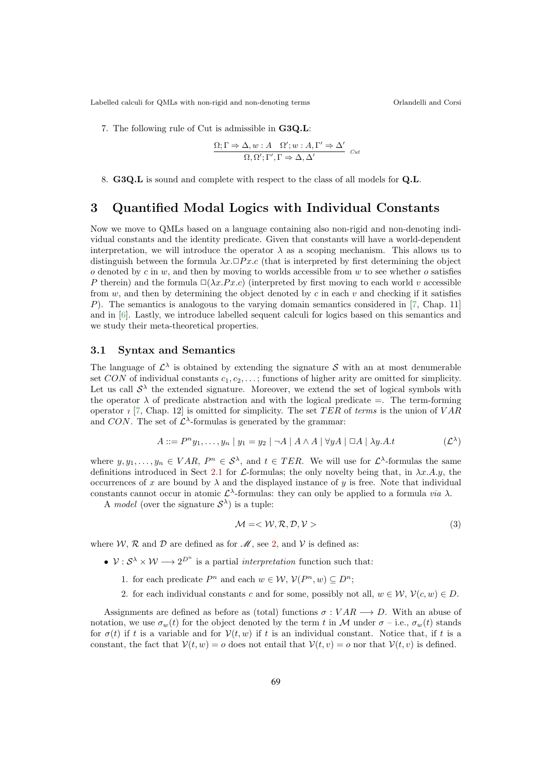7. The following rule of Cut is admissible in G3Q.L:

$$
\frac{\Omega; \Gamma \Rightarrow \Delta, w: A \quad \Omega'; w: A, \Gamma' \Rightarrow \Delta'}{\Omega, \Omega'; \Gamma', \Gamma \Rightarrow \Delta, \Delta'}
$$
 cut

8. G3Q.L is sound and complete with respect to the class of all models for Q.L.

## 3 Quantified Modal Logics with Individual Constants

Now we move to QMLs based on a language containing also non-rigid and non-denoting individual constants and the identity predicate. Given that constants will have a world-dependent interpretation, we will introduce the operator  $\lambda$  as a scoping mechanism. This allows us to distinguish between the formula  $\lambda x.\Box Px.c$  (that is interpreted by first determining the object  $o$  denoted by  $c$  in  $w$ , and then by moving to worlds accessible from  $w$  to see whether  $o$  satisfies P therein) and the formula  $\square(\lambda x.Px.c)$  (interpreted by first moving to each world v accessible from w, and then by determining the object denoted by c in each v and checking if it satisfies P). The semantics is analogous to the varying domain semantics considered in [7, Chap. 11] and in [6]. Lastly, we introduce labelled sequent calculi for logics based on this semantics and we study their meta-theoretical properties.

## 3.1 Syntax and Semantics

The language of  $\mathcal{L}^{\lambda}$  is obtained by extending the signature S with an at most denumerable set CON of individual constants  $c_1, c_2, \ldots$ ; functions of higher arity are omitted for simplicity. Let us call  $\mathcal{S}^{\lambda}$  the extended signature. Moreover, we extend the set of logical symbols with the operator  $\lambda$  of predicate abstraction and with the logical predicate =. The term-forming operator  $\iota$  [7, Chap. 12] is omitted for simplicity. The set TER of terms is the union of VAR and CON. The set of  $\mathcal{L}^{\lambda}$ -formulas is generated by the grammar:

$$
A ::= P^{n}y_{1}, \dots, y_{n} | y_{1} = y_{2} | \neg A | A \wedge A | \forall y A | \Box A | \lambda y.A.t
$$
 (L<sup>λ</sup>)

where  $y, y_1, \ldots, y_n \in VAR$ ,  $P^n \in S^{\lambda}$ , and  $t \in TER$ . We will use for  $\mathcal{L}^{\lambda}$ -formulas the same definitions introduced in Sect 2.1 for L-formulas; the only novelty being that, in  $\lambda x.A.y$ , the occurrences of x are bound by  $\lambda$  and the displayed instance of y is free. Note that individual constants cannot occur in atomic  $\mathcal{L}^{\lambda}$ -formulas: they can only be applied to a formula *via*  $\lambda$ .

A model (over the signature  $S^{\lambda}$ ) is a tuple:

$$
\mathcal{M} = \langle \mathcal{W}, \mathcal{R}, \mathcal{D}, \mathcal{V} \rangle \tag{3}
$$

where W, R and D are defined as for  $\mathcal{M}$ , see 2, and V is defined as:

- $V : S^{\lambda} \times W \longrightarrow 2^{D^{n}}$  is a partial *interpretation* function such that:
	- 1. for each predicate  $P^n$  and each  $w \in \mathcal{W}, \mathcal{V}(P^n, w) \subseteq D^n$ ;
	- 2. for each individual constants c and for some, possibly not all,  $w \in \mathcal{W}$ ,  $\mathcal{V}(c, w) \in D$ .

Assignments are defined as before as (total) functions  $\sigma: VAR \longrightarrow D$ . With an abuse of notation, we use  $\sigma_w(t)$  for the object denoted by the term t in M under  $\sigma$  – i.e.,  $\sigma_w(t)$  stands for  $\sigma(t)$  if t is a variable and for  $\mathcal{V}(t, w)$  if t is an individual constant. Notice that, if t is a constant, the fact that  $\mathcal{V}(t, w) = o$  does not entail that  $\mathcal{V}(t, v) = o$  nor that  $\mathcal{V}(t, v)$  is defined.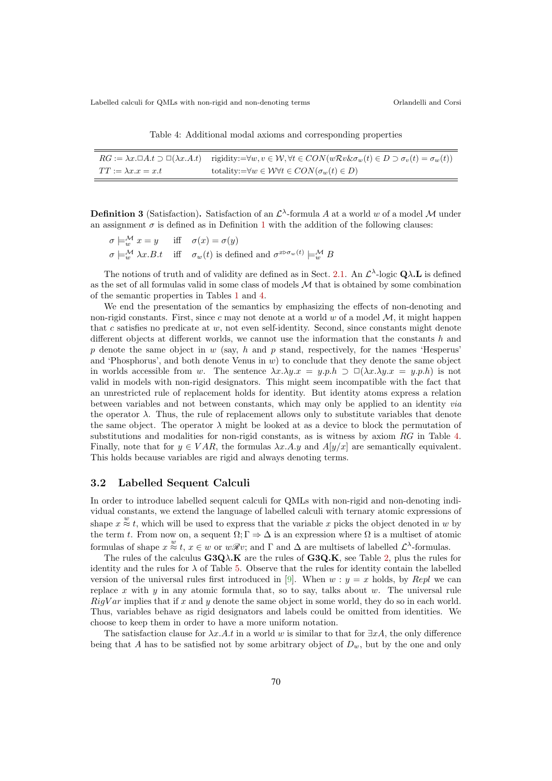Table 4: Additional modal axioms and corresponding properties

|                               | $RG := \lambda x. \Box A.t \supset \Box(\lambda x. A.t)$ rigidity:= $\forall w, v \in \mathcal{W}, \forall t \in CON(w\mathcal{R}v \& \sigma_w(t) \in D \supset \sigma_v(t) = \sigma_w(t))$ |
|-------------------------------|---------------------------------------------------------------------------------------------------------------------------------------------------------------------------------------------|
| $TT := \lambda x . x = x . t$ | totality:= $\forall w \in W \forall t \in CON(\sigma_w(t) \in D)$                                                                                                                           |

**Definition 3** (Satisfaction). Satisfaction of an  $\mathcal{L}^{\lambda}$ -formula A at a world w of a model M under an assignment  $\sigma$  is defined as in Definition 1 with the addition of the following clauses:

$$
\sigma \models_{w}^{\mathcal{M}} x = y \quad \text{iff} \quad \sigma(x) = \sigma(y)
$$
  

$$
\sigma \models_{w}^{\mathcal{M}} \lambda x. B. t \quad \text{iff} \quad \sigma_w(t) \text{ is defined and } \sigma^{x \triangleright \sigma_w(t)} \models_{w}^{\mathcal{M}} B
$$

The notions of truth and of validity are defined as in Sect. 2.1. An  $\mathcal{L}^{\lambda}$ -logic  $\mathbf{Q}\lambda$ . L is defined as the set of all formulas valid in some class of models  $M$  that is obtained by some combination of the semantic properties in Tables 1 and 4.

We end the presentation of the semantics by emphasizing the effects of non-denoting and non-rigid constants. First, since c may not denote at a world w of a model  $M$ , it might happen that c satisfies no predicate at  $w$ , not even self-identity. Second, since constants might denote different objects at different worlds, we cannot use the information that the constants h and p denote the same object in  $w$  (say, h and p stand, respectively, for the names 'Hesperus' and 'Phosphorus', and both denote Venus in  $w$ ) to conclude that they denote the same object in worlds accessible from w. The sentence  $\lambda x.\lambda y.x = y.p.h \supset \Box(\lambda x.\lambda y.x = y.p.h)$  is not valid in models with non-rigid designators. This might seem incompatible with the fact that an unrestricted rule of replacement holds for identity. But identity atoms express a relation between variables and not between constants, which may only be applied to an identity via the operator  $\lambda$ . Thus, the rule of replacement allows only to substitute variables that denote the same object. The operator  $\lambda$  might be looked at as a device to block the permutation of substitutions and modalities for non-rigid constants, as is witness by axiom RG in Table 4. Finally, note that for  $y \in VAR$ , the formulas  $\lambda x.A.y$  and  $A[y/x]$  are semantically equivalent. This holds because variables are rigid and always denoting terms.

## 3.2 Labelled Sequent Calculi

In order to introduce labelled sequent calculi for QMLs with non-rigid and non-denoting individual constants, we extend the language of labelled calculi with ternary atomic expressions of shape  $x \stackrel{w}{\approx} t$ , which will be used to express that the variable x picks the object denoted in w by the term t. From now on, a sequent  $\Omega; \Gamma \Rightarrow \Delta$  is an expression where  $\Omega$  is a multiset of atomic formulas of shape  $x \stackrel{w}{\approx} t$ ,  $x \in w$  or  $w\mathcal{R}v$ ; and  $\Gamma$  and  $\Delta$  are multisets of labelled  $\mathcal{L}^{\lambda}$ -formulas.

The rules of the calculus  $G3Q\lambda K$  are the rules of  $G3Q.K$ , see Table 2, plus the rules for identity and the rules for  $\lambda$  of Table 5. Observe that the rules for identity contain the labelled version of the universal rules first introduced in [9]. When  $w : y = x$  holds, by Repl we can replace x with y in any atomic formula that, so to say, talks about  $w$ . The universal rule  $RigVar$  implies that if x and y denote the same object in some world, they do so in each world. Thus, variables behave as rigid designators and labels could be omitted from identities. We choose to keep them in order to have a more uniform notation.

The satisfaction clause for  $\lambda x.A.t$  in a world w is similar to that for  $\exists xA$ , the only difference being that A has to be satisfied not by some arbitrary object of  $D_w$ , but by the one and only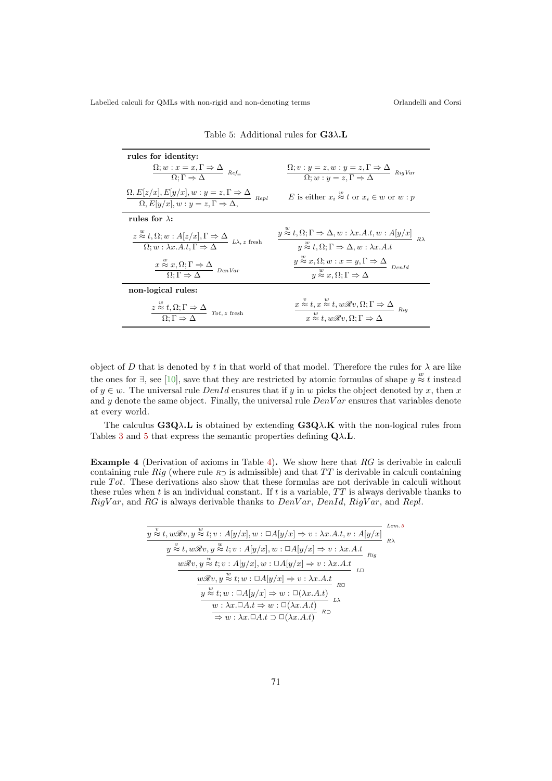| rules for identity:                                                                                                                                              |                                                                                                                                                                                                                            |
|------------------------------------------------------------------------------------------------------------------------------------------------------------------|----------------------------------------------------------------------------------------------------------------------------------------------------------------------------------------------------------------------------|
| $\frac{\Omega; w : x = x, \Gamma \Rightarrow \Delta}{\Omega; \Gamma \Rightarrow \Delta} \ \text{Ref} =$                                                          | $\frac{\Omega; v:y=z, w:y=z, \Gamma \Rightarrow \Delta}{\Omega; w:y=z, \Gamma \Rightarrow \Delta}$ RigVar                                                                                                                  |
| $\frac{\Omega, E[z/x], E[y/x], w: y = z, \Gamma \Rightarrow \Delta}{\Omega, E[y/x], w: y = z, \Gamma \Rightarrow \Delta},$<br>Repl                               | E is either $x_i \stackrel{w}{\approx} t$ or $x_i \in w$ or $w : p$                                                                                                                                                        |
| rules for $\lambda$ :                                                                                                                                            |                                                                                                                                                                                                                            |
| $\frac{z \stackrel{w}{\approx} t, \Omega; w : A[z/x], \Gamma \Rightarrow \Delta}{\Omega; w : \lambda x. A.t, \Gamma \Rightarrow \Delta}$<br>$L\lambda$ , z fresh | $y \stackrel{\approx}{\approx} t, \Omega; \Gamma \Rightarrow \Delta, w : \lambda x. A.t, w : A[y/x]$ <sub>R<math>\lambda</math></sub><br>$u \stackrel{w}{\approx} t, \Omega; \Gamma \Rightarrow \Delta, w : \lambda x.A.t$ |
| $\frac{x \stackrel{w}{\approx} x, \Omega; \Gamma \Rightarrow \Delta}{\Omega; \Gamma \Rightarrow \Delta}$ DenVar                                                  | $\frac{y \stackrel{w}{\approx} x, \Omega; w : x = y, \Gamma \Rightarrow \Delta}{y \stackrel{w}{\approx} x, \Omega; \Gamma \Rightarrow \Delta}$                                                                             |
| non-logical rules:                                                                                                                                               |                                                                                                                                                                                                                            |
| $\frac{z \stackrel{w}{\approx} t, \Omega; \Gamma \Rightarrow \Delta}{\Omega; \Gamma \Rightarrow \Delta} \text{ Tot, } z \text{ fresh}$                           | $\frac{x \stackrel{v}{\approx} t, x \stackrel{w}{\approx} t, w\Re v, \Omega; \Gamma \Rightarrow \Delta}{x \stackrel{w}{\approx} t, w\Re v, \Omega; \Gamma \Rightarrow \Delta}$                                             |

Table 5: Additional rules for  $G3\lambda.L$ 

object of D that is denoted by t in that world of that model. Therefore the rules for  $\lambda$  are like the ones for  $\exists$ , see [10], save that they are restricted by atomic formulas of shape  $y \stackrel{w}{\approx} t$  instead of  $y \in w$ . The universal rule  $DenId$  ensures that if y in w picks the object denoted by x, then x and y denote the same object. Finally, the universal rule  $DenVar$  ensures that variables denote at every world.

The calculus  $G3Q\lambda$ . L is obtained by extending  $G3Q\lambda$ . K with the non-logical rules from Tables 3 and 5 that express the semantic properties defining  $Q\lambda$ . L.

Example 4 (Derivation of axioms in Table 4). We show here that RG is derivable in calculi containing rule Rig (where rule  $R_{\supset}$  is admissible) and that TT is derivable in calculi containing rule  $Tot.$  These derivations also show that these formulas are not derivable in calculi without these rules when t is an individual constant. If t is a variable,  $TT$  is always derivable thanks to  $RightVar$ , and RG is always derivable thanks to  $DenVar$ ,  $DenId$ ,  $RightVar$ , and  $Repl$ .

|                                                                                                                                                                                                                                      | Lem.5      |
|--------------------------------------------------------------------------------------------------------------------------------------------------------------------------------------------------------------------------------------|------------|
| $y \stackrel{v}{\approx} t, w \mathscr{R} v, y \stackrel{w}{\approx} t; v : A[y/x], w : \Box A[y/x] \Rightarrow v : \lambda x. A.t, v : A[y/x]$                                                                                      | $R\lambda$ |
| $y \stackrel{v}{\approx} t, w \mathscr{R} v, y \stackrel{w}{\approx} t; v : A[y/x], w : \Box A[y/x] \Rightarrow v : \lambda x. A.t$<br>Ria                                                                                           |            |
| $w\mathscr{R}v, y \stackrel{w}{\approx} t; v : A[y/x], w : \Box A[y/x] \Rightarrow v : \lambda x. A.t$<br>7.C                                                                                                                        |            |
| $w\mathscr{R}v, y \stackrel{w}{\approx} t; w : \Box A[y/x] \Rightarrow v : \lambda x.A.t$                                                                                                                                            |            |
| R⊡<br>$\overline{y\overset{w}{\approx}t;w:\Box A[y/x]\Rightarrow w:\Box(\lambda x.A.t)}\overline{w:\lambda x.\Box A.t\Rightarrow w:\Box(\lambda x.A.t)}\overline{\Rightarrow w:\lambda x.\Box A.t\supset \Box(\lambda x.A.t)}^{R-1}$ |            |
| $R \supset$                                                                                                                                                                                                                          |            |
|                                                                                                                                                                                                                                      |            |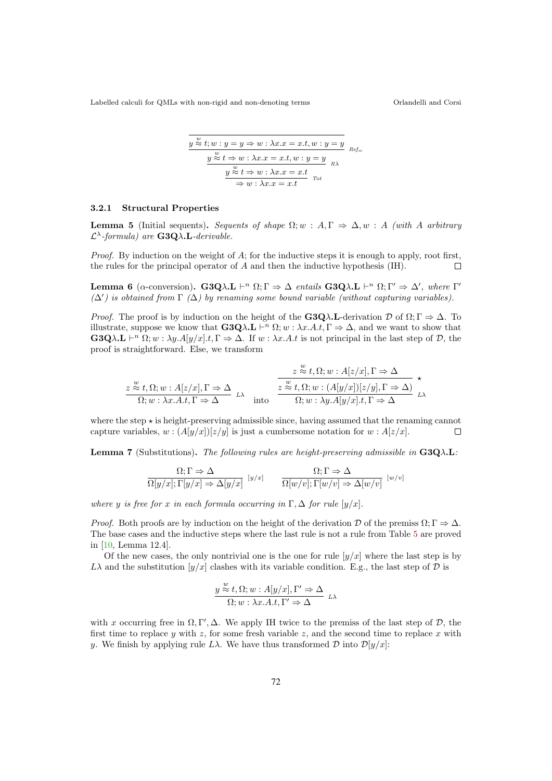$$
y \overset{w}{\approx} t; w : y = y \Rightarrow w : \lambda x.x = x.t, w : y = y
$$
  

$$
y \overset{w}{\approx} t \Rightarrow w : \lambda x.x = x.t, w : y = y
$$
  

$$
y \overset{w}{\approx} t \Rightarrow w : \lambda x.x = x.t
$$
  

$$
\Rightarrow w : \lambda x.x = x.t
$$
  

$$
Tot
$$

#### 3.2.1 Structural Properties

**Lemma 5** (Initial sequents). Sequents of shape  $\Omega$ ; w :  $A, \Gamma \Rightarrow \Delta, w$  : A (with A arbitrary  $\mathcal{L}^{\lambda}$ -formula) are **G3Q** $\lambda$ **.L**-derivable.

*Proof.* By induction on the weight of A; for the inductive steps it is enough to apply, root first, the rules for the principal operator of A and then the inductive hypothesis (IH). П

Lemma 6 (α-conversion). G3Qλ.L  $\vdash^n \Omega; \Gamma \Rightarrow \Delta$  entails G3Qλ.L  $\vdash^n \Omega; \Gamma' \Rightarrow \Delta'$ , where Γ'  $(\Delta')$  is obtained from  $\Gamma(\Delta)$  by renaming some bound variable (without capturing variables).

*Proof.* The proof is by induction on the height of the **G3Q** $\lambda$ **.L**-derivation  $\mathcal{D}$  of  $\Omega$ ;  $\Gamma \Rightarrow \Delta$ . To illustrate, suppose we know that  $G3Q\lambda L \vdash^n \Omega; w : \lambda x.A.t, \Gamma \Rightarrow \Delta$ , and we want to show that  $\mathbf{G3Q}\lambda\mathbf{L} \vdash^n \Omega; w : \lambda y. A[y/x].t, \Gamma \Rightarrow \Delta$ . If  $w : \lambda x. A.t$  is not principal in the last step of  $D$ , the proof is straightforward. Else, we transform

$$
\frac{z \stackrel{w}{\approx} t, \Omega; w : A[z/x], \Gamma \Rightarrow \Delta}{\Omega; w : \lambda x. A.t, \Gamma \Rightarrow \Delta} \xrightarrow{L} \frac{z \stackrel{w}{\approx} t, \Omega; w : A[z/x], \Gamma \Rightarrow \Delta}{\Omega; w : \lambda y. A[y/x], t, \Gamma \Rightarrow \Delta} \xrightarrow{L}
$$

where the step  $\star$  is height-preserving admissible since, having assumed that the renaming cannot capture variables,  $w : (A[y/x])[z/y]$  is just a cumbersome notation for  $w : A[z/x]$ .  $\Box$ 

**Lemma 7** (Substitutions). The following rules are height-preserving admissible in  $G_3Q\lambda$ .L:

$$
\frac{\Omega; \Gamma \Rightarrow \Delta}{\Omega[y/x]; \Gamma[y/x] \Rightarrow \Delta[y/x]} \qquad \frac{\Omega; \Gamma \Rightarrow \Delta}{\Omega[w/v]; \Gamma[w/v] \Rightarrow \Delta[w/v]} \qquad [w/v]
$$

where y is free for x in each formula occurring in  $\Gamma$ ,  $\Delta$  for rule  $[y/x]$ .

*Proof.* Both proofs are by induction on the height of the derivation D of the premiss  $\Omega; \Gamma \Rightarrow \Delta$ . The base cases and the inductive steps where the last rule is not a rule from Table 5 are proved in [10, Lemma 12.4].

Of the new cases, the only nontrivial one is the one for rule  $[y/x]$  where the last step is by  $L\lambda$  and the substitution  $[y/x]$  clashes with its variable condition. E.g., the last step of  $\mathcal D$  is

$$
\frac{y \stackrel{w}{\approx} t, \Omega; w : A[y/x], \Gamma' \Rightarrow \Delta}{\Omega; w : \lambda x. A.t, \Gamma' \Rightarrow \Delta} \quad L\lambda
$$

with x occurring free in  $\Omega, \Gamma', \Delta$ . We apply IH twice to the premiss of the last step of  $\mathcal{D}$ , the first time to replace y with z, for some fresh variable z, and the second time to replace x with y. We finish by applying rule  $L\lambda$ . We have thus transformed  $\mathcal D$  into  $\mathcal D[y/x]$ :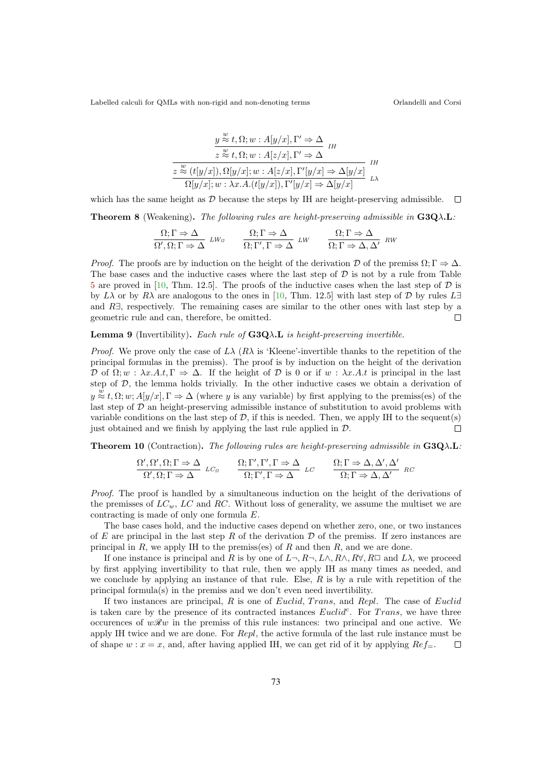$$
\frac{y \stackrel{w}{\approx} t, \Omega; w : A[y/x], \Gamma' \Rightarrow \Delta}{z \stackrel{w}{\approx} t, \Omega; w : A[z/x], \Gamma' \Rightarrow \Delta} \text{IH}
$$
\n
$$
\frac{z \stackrel{w}{\approx} (t[y/x]), \Omega[y/x]; w : A[z/x], \Gamma'[y/x] \Rightarrow \Delta[y/x]}{\Omega[y/x]; w : \lambda x. A.(t[y/x]), \Gamma'[y/x] \Rightarrow \Delta[y/x]} \text{LA}
$$

which has the same height as  $D$  because the steps by IH are height-preserving admissible.  $\Box$ 

**Theorem 8** (Weakening). The following rules are height-preserving admissible in  $G3Q\lambda L$ :

$$
\frac{\Omega; \Gamma \Rightarrow \Delta}{\Omega', \Omega; \Gamma \Rightarrow \Delta} \quad LW_{\Omega} \qquad \frac{\Omega; \Gamma \Rightarrow \Delta}{\Omega; \Gamma', \Gamma \Rightarrow \Delta} \quad LW \qquad \frac{\Omega; \Gamma \Rightarrow \Delta}{\Omega; \Gamma \Rightarrow \Delta, \Delta'} \quad RW
$$

*Proof.* The proofs are by induction on the height of the derivation D of the premiss  $\Omega; \Gamma \Rightarrow \Delta$ . The base cases and the inductive cases where the last step of  $D$  is not by a rule from Table 5 are proved in [10, Thm. 12.5]. The proofs of the inductive cases when the last step of  $D$  is by Lλ or by Rλ are analogous to the ones in [10, Thm. 12.5] with last step of D by rules L $\exists$ and  $R\exists$ , respectively. The remaining cases are similar to the other ones with last step by a geometric rule and can, therefore, be omitted. geometric rule and can, therefore, be omitted.

#### **Lemma 9** (Invertibility). Each rule of  $G3Q\lambda$ . L is height-preserving invertible.

*Proof.* We prove only the case of  $L\lambda$  ( $R\lambda$  is 'Kleene'-invertible thanks to the repetition of the principal formulas in the premiss). The proof is by induction on the height of the derivation D of  $\Omega$ ;  $w : \lambda x.A.t. \Gamma \Rightarrow \Delta$ . If the height of D is 0 or if  $w : \lambda x.A.t$  is principal in the last step of  $D$ , the lemma holds trivially. In the other inductive cases we obtain a derivation of  $y \stackrel{w}{\approx} t, \Omega; w; A[y/x], \Gamma \Rightarrow \Delta$  (where y is any variable) by first applying to the premiss(es) of the last step of  $D$  an height-preserving admissible instance of substitution to avoid problems with variable conditions on the last step of  $D$ , if this is needed. Then, we apply IH to the sequent(s) inst obtained and we finish by applying the last rule applied in  $D$ . just obtained and we finish by applying the last rule applied in  $\mathcal{D}$ .

**Theorem 10** (Contraction). The following rules are height-preserving admissible in  $G3Q\lambda L$ :

$$
\frac{\Omega', \Omega', \Omega; \Gamma \Rightarrow \Delta}{\Omega', \Omega; \Gamma \Rightarrow \Delta} LC_{\Omega} \qquad \frac{\Omega; \Gamma', \Gamma', \Gamma \Rightarrow \Delta}{\Omega; \Gamma', \Gamma \Rightarrow \Delta} LC \qquad \frac{\Omega; \Gamma \Rightarrow \Delta, \Delta', \Delta'}{\Omega; \Gamma \Rightarrow \Delta, \Delta'} RC
$$

Proof. The proof is handled by a simultaneous induction on the height of the derivations of the premisses of  $LC<sub>w</sub>$ ,  $LC$  and RC. Without loss of generality, we assume the multiset we are contracting is made of only one formula E.

The base cases hold, and the inductive cases depend on whether zero, one, or two instances of E are principal in the last step R of the derivation  $D$  of the premiss. If zero instances are principal in  $R$ , we apply IH to the premiss(es) of  $R$  and then  $R$ , and we are done.

If one instance is principal and R is by one of  $L\neg, R\neg, L\wedge, R\wedge, R\forall, R\square$  and  $L\lambda$ , we proceed by first applying invertibility to that rule, then we apply IH as many times as needed, and we conclude by applying an instance of that rule. Else,  $R$  is by a rule with repetition of the principal formula(s) in the premiss and we don't even need invertibility.

If two instances are principal,  $R$  is one of Euclid, Trans, and Repl. The case of Euclid is taken care by the presence of its contracted instances  $Euclid^c$ . For Trans, we have three occurences of  $w\mathcal{R}w$  in the premiss of this rule instances: two principal and one active. We apply IH twice and we are done. For Repl, the active formula of the last rule instance must be of shape  $w : x = x$ , and, after having applied IH, we can get rid of it by applying  $Ref_{\equiv}$ .  $\Box$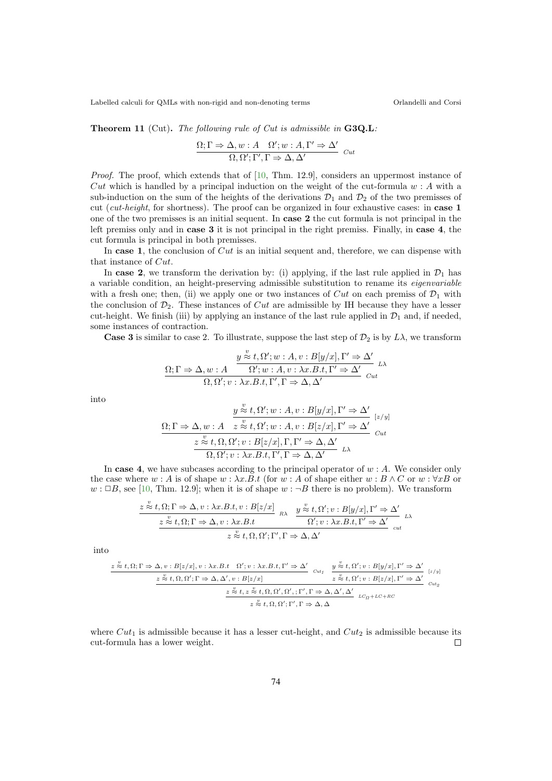Theorem 11 (Cut). The following rule of Cut is admissible in G3Q.L:

$$
\frac{\Omega; \Gamma \Rightarrow \Delta, w : A \quad \Omega'; w : A, \Gamma' \Rightarrow \Delta'}{\Omega, \Omega'; \Gamma', \Gamma \Rightarrow \Delta, \Delta'}
$$
 *Cut*

Proof. The proof, which extends that of [10, Thm. 12.9], considers an uppermost instance of Cut which is handled by a principal induction on the weight of the cut-formula  $w : A$  with a sub-induction on the sum of the heights of the derivations  $\mathcal{D}_1$  and  $\mathcal{D}_2$  of the two premisses of cut (cut-height, for shortness). The proof can be organized in four exhaustive cases: in **case 1** one of the two premisses is an initial sequent. In case 2 the cut formula is not principal in the left premiss only and in case 3 it is not principal in the right premiss. Finally, in case 4, the cut formula is principal in both premisses.

In case 1, the conclusion of  $Cut$  is an initial sequent and, therefore, we can dispense with that instance of Cut.

In case 2, we transform the derivation by: (i) applying, if the last rule applied in  $\mathcal{D}_1$  has a variable condition, an height-preserving admissible substitution to rename its eigenvariable with a fresh one; then, (ii) we apply one or two instances of Cut on each premiss of  $\mathcal{D}_1$  with the conclusion of  $\mathcal{D}_2$ . These instances of *Cut* are admissible by IH because they have a lesser cut-height. We finish (iii) by applying an instance of the last rule applied in  $\mathcal{D}_1$  and, if needed, some instances of contraction.

**Case 3** is similar to case 2. To illustrate, suppose the last step of  $\mathcal{D}_2$  is by  $L\lambda$ , we transform

$$
\frac{y \overset{v}{\approx} t, \Omega'; w : A, v : B[y/x], \Gamma' \Rightarrow \Delta'}{\Omega; \Omega' ; w : A, v : \lambda x. B.t, \Gamma' \Rightarrow \Delta'} \n\Lambda
$$
\n
$$
\frac{\Omega; \Gamma \Rightarrow \Delta, w : A}{\Omega, \Omega' ; v : \lambda x. B.t, \Gamma', \Gamma \Rightarrow \Delta, \Delta'} \n\quad_{\text{cut}}
$$

into

$$
\frac{y \overset{v}{\approx} t, \Omega'; w : A, v : B[y/x], \Gamma' \Rightarrow \Delta'}{z \overset{v}{\approx} t, \Omega'; w : A, v : B[z/x], \Gamma' \Rightarrow \Delta'} \xrightarrow[z/y]
$$
\n
$$
\frac{z \overset{v}{\approx} t, \Omega, \Omega'; v : B[z/x], \Gamma, \Gamma' \Rightarrow \Delta, \Delta'}{\Omega, \Omega'; v : \lambda x. B.t, \Gamma', \Gamma \Rightarrow \Delta, \Delta'} \xrightarrow{L\lambda}
$$

 $\overline{\mathbf{v}}$ 

In case 4, we have subcases according to the principal operator of  $w : A$ . We consider only the case where w : A is of shape  $w : \lambda x.B.t$  (for  $w : A$  of shape either  $w : B \wedge C$  or  $w : \forall x B$  or  $w : \Box B$ , see [10, Thm. 12.9]; when it is of shape  $w : \neg B$  there is no problem). We transform

$$
\frac{z \stackrel{v}{\approx} t, \Omega; \Gamma \Rightarrow \Delta, v : \lambda x. B. t, v : B[z/x]}{z \stackrel{v}{\approx} t, \Omega; \Gamma \Rightarrow \Delta, v : \lambda x. B. t} R\lambda \frac{y \stackrel{v}{\approx} t, \Omega'; v : B[y/x], \Gamma' \Rightarrow \Delta'}{\Omega'; v : \lambda x. B. t, \Gamma' \Rightarrow \Delta'}_{cut} \nu \lambda
$$

into

$$
\frac{z \stackrel{\psi}{\approx} t, \Omega; \Gamma \Rightarrow \Delta, v: B[z/x], v: \lambda x. B. t \quad \Omega'; v: \lambda x. B. t, \Gamma' \Rightarrow \Delta'}{z \stackrel{\psi}{\approx} t, \Omega'; v: B[y/x], \Gamma' \Rightarrow \Delta'} \quad \frac{y \stackrel{\psi}{\approx} t, \Omega'; v: B[y/x], \Gamma' \Rightarrow \Delta'}{z \stackrel{\psi}{\approx} t, \Omega'; v: B[z/x], \Gamma' \Rightarrow \Delta'} \quad \frac{z \stackrel{\psi}{\approx} t, \Omega, \Omega'; \Gamma \Rightarrow \Delta, \Delta', v: B[z/x], \Gamma' \Rightarrow \Delta'}{z \stackrel{\psi}{\approx} t, \Omega, \Omega'; \Gamma', \Gamma \Rightarrow \Delta, \Delta', \Delta'} \quad \text{and} \quad \frac{z \stackrel{\psi}{\approx} t, z \stackrel{\psi}{\approx} t, \Omega, \Omega'; \Gamma', \Gamma \Rightarrow \Delta, \Delta'}{z \stackrel{\psi}{\approx} t, \Omega, \Omega'; \Gamma', \Gamma \Rightarrow \Delta, \Delta} \quad \text{and} \quad \frac{z \stackrel{\psi}{\approx} t, \Omega, \Omega'; \Gamma, \Gamma \Rightarrow \Delta, \Delta'}{z \stackrel{\psi}{\approx} t, \Omega, \Omega'; \Gamma', \Gamma \Rightarrow \Delta, \Delta} \quad \text{and} \quad \frac{z \stackrel{\psi}{\approx} t, \Omega, \Omega'; \Gamma \Rightarrow \Delta, \Delta', \Delta'}{z \stackrel{\psi}{\approx} t, \Omega, \Omega'; \Gamma', \Gamma \Rightarrow \Delta, \Delta' \Rightarrow \frac{z \stackrel{\psi}{\approx} t, \Omega \Rightarrow \Delta'}{z \stackrel{\psi}{\approx} t, \Omega \Rightarrow \frac{z \stackrel{\psi}{\approx} t, \Omega \Rightarrow \Delta'}{z \stackrel{\psi}{\approx} t, \Omega \Rightarrow \frac{z \stackrel{\psi}{\approx} t, \Omega \Rightarrow \Delta'}{z \stackrel{\psi}{\approx} t, \Omega \Rightarrow \frac{z \stackrel{\psi}{\approx} t, \Omega \Rightarrow \Delta'}{z \stackrel{\psi}{\approx} t, \Omega \Rightarrow \frac{z \stackrel{\psi}{\approx} t, \Omega \Rightarrow \frac{z \stackrel{\psi}{\approx} t, \Omega \Rightarrow \frac{z \stackrel{\psi}{\approx} t, \Omega \Rightarrow \frac{z \stackrel{\psi}{\approx} t, \Omega \Rightarrow \frac{z \stackrel{\psi}{\approx} t, \Omega \Rightarrow \frac{z \stackrel{\psi}{\approx} t, \Omega \Rightarrow \frac{z \stackrel{\psi}{\approx
$$

where  $Cut_1$  is admissible because it has a lesser cut-height, and  $Cut_2$  is admissible because its cut-formula has a lower weight.  $\Box$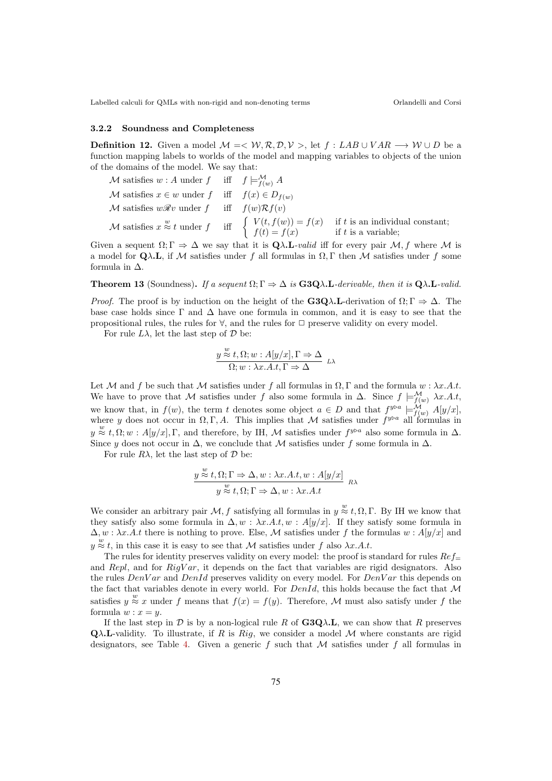### 3.2.2 Soundness and Completeness

**Definition 12.** Given a model  $M = \langle W, R, D, V \rangle$ , let f : LAB  $\cup$  VAR  $\longrightarrow$  W  $\cup$  D be a function mapping labels to worlds of the model and mapping variables to objects of the union of the domains of the model. We say that:

$$
\mathcal{M} \text{ satisfies } w : A \text{ under } f \quad \text{ iff } \quad f \models_{f(w)}^{\mathcal{M}} A
$$
\n
$$
\mathcal{M} \text{ satisfies } x \in w \text{ under } f \quad \text{ iff } \quad f(x) \in D_{f(w)}
$$
\n
$$
\mathcal{M} \text{ satisfies } w\mathcal{R}v \text{ under } f \quad \text{ iff } \quad f(w)\mathcal{R}f(v)
$$
\n
$$
\mathcal{M} \text{ satisfies } x \stackrel{w}{\approx} t \text{ under } f \quad \text{ iff } \quad \left\{ \begin{array}{ll} V(t, f(w)) = f(x) & \text{ if } t \text{ is an individual constant;} \\ f(t) = f(x) & \text{ if } t \text{ is a variable;} \end{array} \right.
$$

Given a sequent  $\Omega;\Gamma \Rightarrow \Delta$  we say that it is  $\mathbf{Q}\lambda.\mathbf{L}\text{-}valid$  iff for every pair  $\mathcal{M}, f$  where  $\mathcal M$  is a model for  $\mathbf{Q}\lambda\mathbf{L}$ , if M satisfies under f all formulas in  $\Omega$ , Γ then M satisfies under f some formula in  $\Delta$ .

**Theorem 13** (Soundness). If a sequent  $\Omega; \Gamma \Rightarrow \Delta$  is  $\mathbf{G3Q}\lambda.\mathbf{L}$ -derivable, then it is  $\mathbf{Q}\lambda.\mathbf{L}$ -valid.

*Proof.* The proof is by induction on the height of the  $G_3Q\lambda$ . L-derivation of  $\Omega:\Gamma \Rightarrow \Delta$ . The base case holds since  $\Gamma$  and  $\Delta$  have one formula in common, and it is easy to see that the propositional rules, the rules for  $\forall$ , and the rules for  $\Box$  preserve validity on every model.

For rule  $L\lambda$ , let the last step of  $\mathcal D$  be:

$$
\frac{y \stackrel{w}{\approx} t, \Omega; w : A[y/x], \Gamma \Rightarrow \Delta}{\Omega; w : \lambda x. A.t, \Gamma \Rightarrow \Delta} \quad L\lambda
$$

Let M and f be such that M satisfies under f all formulas in  $\Omega, \Gamma$  and the formula  $w : \lambda x.A.t.$ We have to prove that M satisfies under f also some formula in  $\Delta$ . Since  $f \models_{f(w)}^{\mathcal{M}} \lambda x.A.t$ , we know that, in  $f(w)$ , the term t denotes some object  $a \in D$  and that  $f^{y \triangleright a} \models_{f(w)}^{\mathcal{M}} A[y/x]$ , where y does not occur in  $\Omega, \Gamma, A$ . This implies that M satisfies under  $f^{y\triangleright a}$  all formulas in  $y \stackrel{w}{\approx} t, \Omega; w : A[y/x], \Gamma$ , and therefore, by IH, M satisfies under  $f^{y \triangleright a}$  also some formula in  $\Delta$ . Since y does not occur in  $\Delta$ , we conclude that M satisfies under f some formula in  $\Delta$ .

For rule  $R\lambda$ , let the last step of  $\mathcal D$  be:

$$
\frac{y \stackrel{w}{\approx} t, \Omega; \Gamma \Rightarrow \Delta, w : \lambda x. A.t, w : A[y/x]}{y \stackrel{w}{\approx} t, \Omega; \Gamma \Rightarrow \Delta, w : \lambda x. A.t} \quad R\lambda
$$

We consider an arbitrary pair  $\mathcal{M}, f$  satisfying all formulas in  $y \stackrel{w}{\approx} t, \Omega, \Gamma$ . By IH we know that they satisfy also some formula in  $\Delta, w : \lambda x.A.t, w : A[y/x]$ . If they satisfy some formula in  $\Delta, w : \lambda x.A.t$  there is nothing to prove. Else, M satisfies under f the formulas  $w : A[y/x]$  and  $y \stackrel{w}{\approx} t$ , in this case it is easy to see that M satisfies under f also  $\lambda x.A.t$ .

The rules for identity preserves validity on every model: the proof is standard for rules  $Re f$ and Repl, and for  $Right'$ , it depends on the fact that variables are rigid designators. Also the rules  $DenVar$  and  $DenId$  preserves validity on every model. For  $DenVar$  this depends on the fact that variables denote in every world. For  $DenId$ , this holds because the fact that M satisfies  $y \approx x$  under f means that  $f(x) = f(y)$ . Therefore, M must also satisfy under f the formula  $w : x = y$ .

If the last step in  $D$  is by a non-logical rule R of  $G3Q\lambda$ . L, we can show that R preserves  $\mathbf{Q}\lambda$ . L-validity. To illustrate, if R is Rig, we consider a model M where constants are rigid designators, see Table 4. Given a generic  $f$  such that  $M$  satisfies under  $f$  all formulas in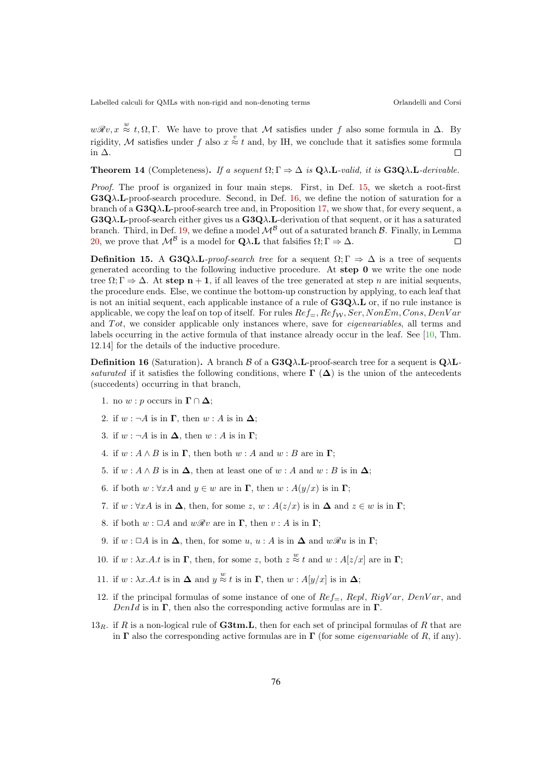$w\mathcal{R}v, x \stackrel{w}{\approx} t, \Omega, \Gamma$ . We have to prove that M satisfies under f also some formula in  $\Delta$ . By rigidity, M satisfies under f also  $x \overset{v}{\approx} t$  and, by IH, we conclude that it satisfies some formula in ∆.

**Theorem 14** (Completeness). If a sequent  $\Omega; \Gamma \Rightarrow \Delta$  is  $\mathbf{Q}\lambda \mathbf{L}$ -valid, it is  $\mathbf{G} \mathbf{3} \mathbf{Q} \lambda \mathbf{L}$ -derivable.

Proof. The proof is organized in four main steps. First, in Def. 15, we sketch a root-first  $G3Q\lambda$ . L-proof-search procedure. Second, in Def. 16, we define the notion of saturation for a branch of a  $G_3Q\lambda$ . L-proof-search tree and, in Proposition 17, we show that, for every sequent, a  $G3Q\lambda.L$ -proof-search either gives us a  $G3Q\lambda.L$ -derivation of that sequent, or it has a saturated branch. Third, in Def. 19, we define a model  $\mathcal{M}^{\mathcal{B}}$  out of a saturated branch  $\mathcal{B}$ . Finally, in Lemma 20, we prove that  $\mathcal{M}^{\mathcal{B}}$  is a model for  $\Omega \setminus I$ , that falsifies  $\Omega \cdot \Gamma \Rightarrow \Lambda$ 20, we prove that  $\mathcal{M}^{\mathcal{B}}$  is a model for  $\mathbf{Q}\lambda$ . L that falsifies  $\Omega:\Gamma\Rightarrow\Delta$ .

**Definition 15.** A G3Q $\lambda$ .L-proof-search tree for a sequent  $\Omega$ ;  $\Gamma \Rightarrow \Delta$  is a tree of sequents generated according to the following inductive procedure. At step 0 we write the one node tree  $\Omega: \Gamma \to \Delta$ . At step n + 1, if all leaves of the tree generated at step n are initial sequents, the procedure ends. Else, we continue the bottom-up construction by applying, to each leaf that is not an initial sequent, each applicable instance of a rule of  $G3Q\lambda$ . L or, if no rule instance is applicable, we copy the leaf on top of itself. For rules  $Ref_{=}$ ,  $Ref_{\mathcal{W}}$ ,  $Ser$ ,  $NonEm$ ,  $Cons$ ,  $DenVar$ and  $Tot$ , we consider applicable only instances where, save for *eigenvariables*, all terms and labels occurring in the active formula of that instance already occur in the leaf. See [10, Thm. 12.14] for the details of the inductive procedure.

**Definition 16** (Saturation). A branch  $\beta$  of a  $G_3Q\lambda$ . L-proof-search tree for a sequent is  $Q\lambda$ . saturated if it satisfies the following conditions, where  $\Gamma(\Delta)$  is the union of the antecedents (succedents) occurring in that branch,

- 1. no  $w : p$  occurs in  $\Gamma \cap \Delta$ ;
- 2. if  $w : \neg A$  is in  $\Gamma$ , then  $w : A$  is in  $\Delta$ ;
- 3. if  $w : \neg A$  is in  $\Delta$ , then  $w : A$  is in  $\Gamma$ ;
- 4. if  $w : A \wedge B$  is in  $\Gamma$ , then both  $w : A$  and  $w : B$  are in  $\Gamma$ ;
- 5. if  $w : A \wedge B$  is in  $\Delta$ , then at least one of  $w : A$  and  $w : B$  is in  $\Delta$ ;
- 6. if both  $w : \forall x A$  and  $y \in w$  are in  $\Gamma$ , then  $w : A(y/x)$  is in  $\Gamma$ ;
- 7. if  $w : \forall x A$  is in  $\Delta$ , then, for some  $z, w : A(z/x)$  is in  $\Delta$  and  $z \in w$  is in  $\Gamma$ ;
- 8. if both  $w : \Box A$  and  $w\mathcal{R}v$  are in  $\Gamma$ , then  $v : A$  is in  $\Gamma$ ;
- 9. if  $w : \Box A$  is in  $\Delta$ , then, for some  $u, u : A$  is in  $\Delta$  and  $w\mathscr{R}u$  is in  $\Gamma$ ;
- 10. if  $w : \lambda x.A.t$  is in  $\Gamma$ , then, for some z, both  $z \stackrel{w}{\approx} t$  and  $w : A[z/x]$  are in  $\Gamma$ ;
- 11. if  $w : \lambda x.A.t$  is in  $\Delta$  and  $y \stackrel{w}{\approx} t$  is in  $\Gamma$ , then  $w : A[y/x]$  is in  $\Delta$ ;
- 12. if the principal formulas of some instance of one of  $Ref_{=}$ ,  $Repl$ ,  $Right'ar$ ,  $DenVar$ , and  $DenId$  is in  $\Gamma$ , then also the corresponding active formulas are in  $\Gamma$ .
- $13_R$ , if R is a non-logical rule of **G3tm.L**, then for each set of principal formulas of R that are in  $\Gamma$  also the corresponding active formulas are in  $\Gamma$  (for some *eigenvariable* of R, if any).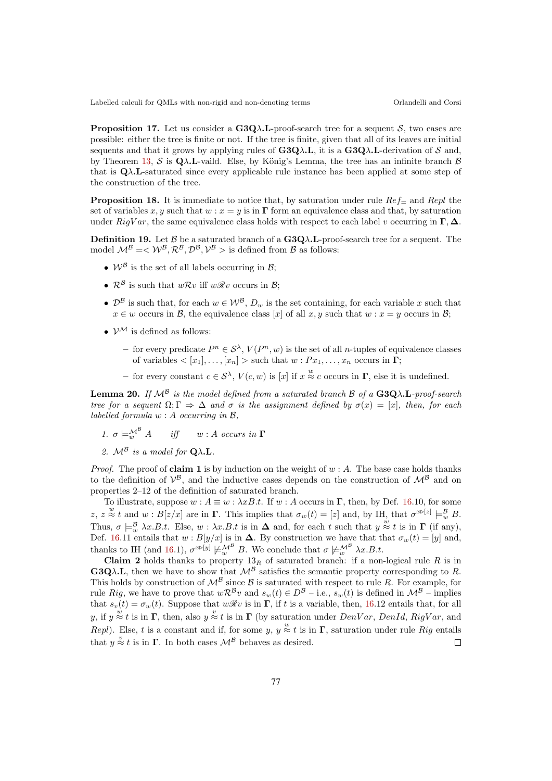**Proposition 17.** Let us consider a  $G_3Q\lambda$ . L-proof-search tree for a sequent S, two cases are possible: either the tree is finite or not. If the tree is finite, given that all of its leaves are initial sequents and that it grows by applying rules of  $G3Q\lambda L$ , it is a  $G3Q\lambda L$ -derivation of S and, by Theorem 13, S is  $Q\lambda$ . L-vaild. Else, by König's Lemma, the tree has an infinite branch B that is  $\mathbf{Q}\lambda \mathbf{L}$ -saturated since every applicable rule instance has been applied at some step of the construction of the tree.

**Proposition 18.** It is immediate to notice that, by saturation under rule  $Re f$  and Repl the set of variables x, y such that  $w : x = y$  is in  $\Gamma$  form an equivalence class and that, by saturation under  $RigVar$ , the same equivalence class holds with respect to each label v occurring in  $\Gamma$ ,  $\Delta$ .

**Definition 19.** Let  $\beta$  be a saturated branch of a  $G3Q\lambda$ **L**-proof-search tree for a sequent. The model  $\mathcal{M}^B = \langle \mathcal{W}^B, \mathcal{R}^B, \mathcal{D}^B, \mathcal{V}^B \rangle$  is defined from  $\mathcal B$  as follows:

- $W^{\beta}$  is the set of all labels occurring in  $\beta$ ;
- $\mathcal{R}^{\mathcal{B}}$  is such that  $w\mathcal{R}v$  iff  $w\mathcal{R}v$  occurs in  $\mathcal{B}$ ;
- $\mathcal{D}^{\mathcal{B}}$  is such that, for each  $w \in \mathcal{W}^{\mathcal{B}}$ ,  $D_w$  is the set containing, for each variable x such that  $x \in w$  occurs in B, the equivalence class [x] of all x, y such that  $w : x = y$  occurs in B;
- $V^{\mathcal{M}}$  is defined as follows:
	- − for every predicate  $P^n \in \mathcal{S}^{\lambda}$ ,  $V(P^n, w)$  is the set of all *n*-tuples of equivalence classes of variables  $\langle [x_1], \ldots, [x_n] \rangle$  such that  $w : Px_1, \ldots, x_n$  occurs in  $\Gamma$ ;
	- for every constant  $c \in \mathcal{S}^{\lambda}$ ,  $V(c, w)$  is  $[x]$  if  $x \stackrel{w}{\approx} c$  occurs in  $\Gamma$ , else it is undefined.

**Lemma 20.** If  $\mathcal{M}^{\mathcal{B}}$  is the model defined from a saturated branch  $\mathcal{B}$  of a G3Q $\lambda$ . L-proof-search tree for a sequent  $\Omega; \Gamma \Rightarrow \Delta$  and  $\sigma$  is the assignment defined by  $\sigma(x) = [x]$ , then, for each labelled formula  $w : A$  occurring in  $B$ ,

- 1.  $\sigma \models^{\mathcal{M}^{\mathcal{B}}}_{\mathcal{M}} A$ iff  $w : A$  occurs in  $\Gamma$
- 2.  $M^B$  is a model for  $Q\lambda$ .L.

*Proof.* The proof of claim 1 is by induction on the weight of  $w : A$ . The base case holds thanks to the definition of  $V^B$ , and the inductive cases depends on the construction of  $M^B$  and on properties 2–12 of the definition of saturated branch.

To illustrate, suppose  $w : A \equiv w : \lambda x B.t$ . If  $w : A$  occurs in  $\Gamma$ , then, by Def. 16.10, for some z,  $z \approx t$  and  $w : B[z/x]$  are in  $\Gamma$ . This implies that  $\sigma_w(t) = [z]$  and, by IH, that  $\sigma^{x \triangleright [z]} \models^{\mathcal{B}}_w B$ . Thus,  $\sigma \models_w^B \lambda x.B.t.$  Else,  $w : \lambda x.B.t$  is in  $\Delta$  and, for each t such that  $y \stackrel{w}{\approx} t$  is in  $\Gamma$  (if any), Def. 16.11 entails that  $w : B[y/x]$  is in  $\Delta$ . By construction we have that that  $\sigma_w(t) = [y]$  and, thanks to IH (and 16.1),  $\sigma^{x\triangleright [y]} \not\models w^{\mathcal{M}^{\mathcal{B}}} B$ . We conclude that  $\sigma \not\models w^{\mathcal{M}^{\mathcal{B}}} \lambda x.B.t.$ 

Claim 2 holds thanks to property  $13_R$  of saturated branch: if a non-logical rule R is in G3Q $\lambda$ .L, then we have to show that  $\mathcal{M}^{\beta}$  satisfies the semantic property corresponding to R. This holds by construction of  $\mathcal{M}^B$  since  $\mathcal B$  is saturated with respect to rule R. For example, for rule Rig, we have to prove that  $w \mathcal{R}^B v$  and  $s_w(t) \in D^B - \text{i.e.}$ ,  $s_w(t)$  is defined in  $\mathcal{M}^B - \text{implies}$ that  $s_v(t) = \sigma_w(t)$ . Suppose that  $w\mathcal{R}v$  is in  $\Gamma$ , if t is a variable, then, 16.12 entails that, for all y, if  $y \stackrel{w}{\approx} t$  is in  $\Gamma$ , then, also  $y \stackrel{v}{\approx} t$  is in  $\Gamma$  (by saturation under *DenVar*, *DenId*, *RigVar*, and Repl). Else, t is a constant and if, for some y,  $y \approx t$  is in  $\Gamma$ , saturation under rule Rig entails that  $y \stackrel{v}{\approx} t$  is in  $\Gamma$ . In both cases  $\mathcal{M}^{\mathcal{B}}$  behaves as desired.  $\Box$